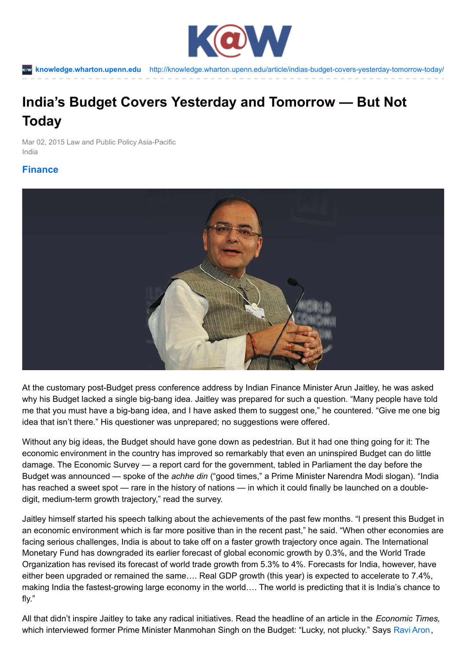

**[knowledge.wharton.upenn.edu](http://knowledge.wharton.upenn.edu)** <http://knowledge.wharton.upenn.edu/article/indias-budget-covers-yesterday-tomorrow-today/>

# **India's Budget Covers Yesterday and Tomorrow — But Not Today**

Mar 02, 2015 Law and Public Policy Asia-Pacific India

## **[Finance](http://knowledge.wharton.upenn.edu/topic/finance/)**



At the customary post-Budget press conference address by Indian Finance Minister Arun Jaitley, he was asked why his Budget lacked a single big-bang idea. Jaitley was prepared for such a question. "Many people have told me that you must have a big-bang idea, and I have asked them to suggest one," he countered. "Give me one big idea that isn't there." His questioner was unprepared; no suggestions were offered.

Without any big ideas, the Budget should have gone down as pedestrian. But it had one thing going for it: The economic environment in the country has improved so remarkably that even an uninspired Budget can do little damage. The Economic Survey — a report card for the government, tabled in Parliament the day before the Budget was announced — spoke of the *achhe din* ("good times," a Prime Minister Narendra Modi slogan). "India has reached a sweet spot — rare in the history of nations — in which it could finally be launched on a doubledigit, medium-term growth trajectory," read the survey.

Jaitley himself started his speech talking about the achievements of the past few months. "I present this Budget in an economic environment which is far more positive than in the recent past," he said. "When other economies are facing serious challenges, India is about to take off on a faster growth trajectory once again. The International Monetary Fund has downgraded its earlier forecast of global economic growth by 0.3%, and the World Trade Organization has revised its forecast of world trade growth from 5.3% to 4%. Forecasts for India, however, have either been upgraded or remained the same…. Real GDP growth (this year) is expected to accelerate to 7.4%, making India the fastest-growing large economy in the world…. The world is predicting that it is India's chance to fly."

All that didn't inspire Jaitley to take any radical initiatives. Read the headline of an article in the *Economic Times,* which interviewed former Prime Minister Manmohan Singh on the Budget: "Lucky, not plucky." Says Ravi [Aron](http://carey.jhu.edu/faculty-research/directory/ravi-aron-phd),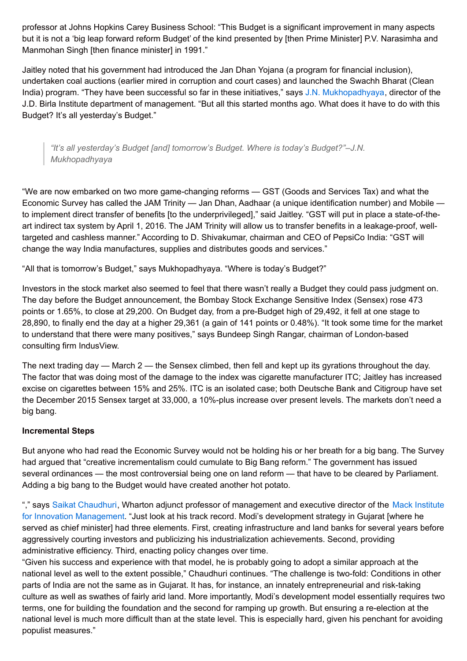professor at Johns Hopkins Carey Business School: "This Budget is a significant improvement in many aspects but it is not a 'big leap forward reform Budget' of the kind presented by [then Prime Minister] P.V. Narasimha and Manmohan Singh [then finance minister] in 1991."

Jaitley noted that his government had introduced the Jan Dhan Yojana (a program for financial inclusion), undertaken coal auctions (earlier mired in corruption and court cases) and launched the Swachh Bharat (Clean India) program. "They have been successful so far in these initiatives," says J.N. [Mukhopadhyaya](http://www.jdbimanagement.org.in/dmessage.php), director of the J.D. Birla Institute department of management. "But all this started months ago. What does it have to do with this Budget? It's all yesterday's Budget."

*"It's all yesterday's Budget [and] tomorrow's Budget. Where is today's Budget?"–J.N. Mukhopadhyaya*

"We are now embarked on two more game-changing reforms — GST (Goods and Services Tax) and what the Economic Survey has called the JAM Trinity — Jan Dhan, Aadhaar (a unique identification number) and Mobile to implement direct transfer of benefits [to the underprivileged]," said Jaitley. "GST will put in place a state-of-theart indirect tax system by April 1, 2016. The JAM Trinity will allow us to transfer benefits in a leakage-proof, welltargeted and cashless manner." According to D. Shivakumar, chairman and CEO of PepsiCo India: "GST will change the way India manufactures, supplies and distributes goods and services."

"All that is tomorrow's Budget," says Mukhopadhyaya. "Where is today's Budget?"

Investors in the stock market also seemed to feel that there wasn't really a Budget they could pass judgment on. The day before the Budget announcement, the Bombay Stock Exchange Sensitive Index (Sensex) rose 473 points or 1.65%, to close at 29,200. On Budget day, from a pre-Budget high of 29,492, it fell at one stage to 28,890, to finally end the day at a higher 29,361 (a gain of 141 points or 0.48%). "It took some time for the market to understand that there were many positives," says Bundeep Singh Rangar, chairman of London-based consulting firm IndusView.

The next trading day — March 2 — the Sensex climbed, then fell and kept up its gyrations throughout the day. The factor that was doing most of the damage to the index was cigarette manufacturer ITC; Jaitley has increased excise on cigarettes between 15% and 25%. ITC is an isolated case; both Deutsche Bank and Citigroup have set the December 2015 Sensex target at 33,000, a 10%-plus increase over present levels. The markets don't need a big bang.

#### **Incremental Steps**

But anyone who had read the Economic Survey would not be holding his or her breath for a big bang. The Survey had argued that "creative incrementalism could cumulate to Big Bang reform." The government has issued several ordinances — the most controversial being one on land reform — that have to be cleared by Parliament. Adding a big bang to the Budget would have created another hot potato.

"," says Saikat [Chaudhuri](http://knowledge.wharton.upenn.edu/faculty/saikatc/), Wharton adjunct professor of [management](http://mackinstitute.wharton.upenn.edu/) and executive director of the Mack Institute for Innovation Management. "Just look at his track record. Modi's development strategy in Gujarat [where he served as chief minister] had three elements. First, creating infrastructure and land banks for several years before aggressively courting investors and publicizing his industrialization achievements. Second, providing administrative efficiency. Third, enacting policy changes over time.

"Given his success and experience with that model, he is probably going to adopt a similar approach at the national level as well to the extent possible," Chaudhuri continues. "The challenge is two-fold: Conditions in other parts of India are not the same as in Gujarat. It has, for instance, an innately entrepreneurial and risk-taking culture as well as swathes of fairly arid land. More importantly, Modi's development model essentially requires two terms, one for building the foundation and the second for ramping up growth. But ensuring a re-election at the national level is much more difficult than at the state level. This is especially hard, given his penchant for avoiding populist measures."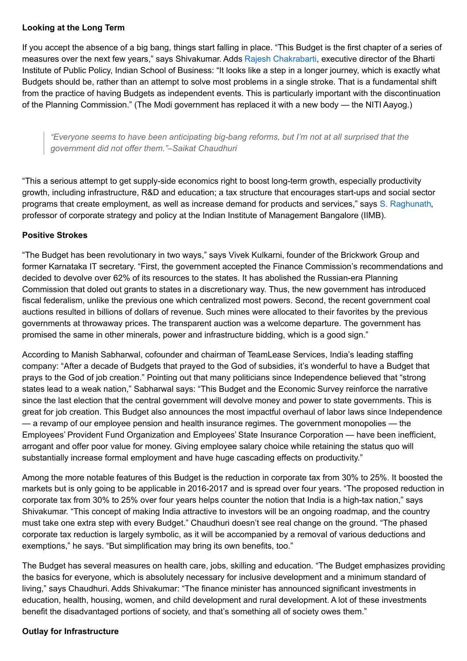#### **Looking at the Long Term**

If you accept the absence of a big bang, things start falling in place. "This Budget is the first chapter of a series of measures over the next few years," says Shivakumar. Adds Rajesh [Chakrabarti](http://www.isb.edu/faculty-research/faculty/directory/chakrabarti-rajesh), executive director of the Bharti Institute of Public Policy, Indian School of Business: "It looks like a step in a longer journey, which is exactly what Budgets should be, rather than an attempt to solve most problems in a single stroke. That is a fundamental shift from the practice of having Budgets as independent events. This is particularly important with the discontinuation of the Planning Commission." (The Modi government has replaced it with a new body — the NITI Aayog.)

*"Everyone seems to have been anticipating big-bang reforms, but I'm not at all surprised that the government did not offer them."–Saikat Chaudhuri*

"This a serious attempt to get supply-side economics right to boost long-term growth, especially productivity growth, including infrastructure, R&D and education; a tax structure that encourages start-ups and social sector programs that create employment, as well as increase demand for products and services," says S. [Raghunath](http://www.iimb.ernet.in/user/135/s-raghunath), professor of corporate strategy and policy at the Indian Institute of Management Bangalore (IIMB).

### **Positive Strokes**

"The Budget has been revolutionary in two ways," says Vivek Kulkarni, founder of the Brickwork Group and former Karnataka IT secretary. "First, the government accepted the Finance Commission's recommendations and decided to devolve over 62% of its resources to the states. It has abolished the Russian-era Planning Commission that doled out grants to states in a discretionary way. Thus, the new government has introduced fiscal federalism, unlike the previous one which centralized most powers. Second, the recent government coal auctions resulted in billions of dollars of revenue. Such mines were allocated to their favorites by the previous governments at throwaway prices. The transparent auction was a welcome departure. The government has promised the same in other minerals, power and infrastructure bidding, which is a good sign."

According to Manish Sabharwal, cofounder and chairman of TeamLease Services, India's leading staffing company: "After a decade of Budgets that prayed to the God of subsidies, it's wonderful to have a Budget that prays to the God of job creation." Pointing out that many politicians since Independence believed that "strong states lead to a weak nation," Sabharwal says: "This Budget and the Economic Survey reinforce the narrative since the last election that the central government will devolve money and power to state governments. This is great for job creation. This Budget also announces the most impactful overhaul of labor laws since Independence — a revamp of our employee pension and health insurance regimes. The government monopolies — the Employees' Provident Fund Organization and Employees' State Insurance Corporation — have been inefficient, arrogant and offer poor value for money. Giving employee salary choice while retaining the status quo will substantially increase formal employment and have huge cascading effects on productivity."

Among the more notable features of this Budget is the reduction in corporate tax from 30% to 25%. It boosted the markets but is only going to be applicable in 2016-2017 and is spread over four years. "The proposed reduction in corporate tax from 30% to 25% over four years helps counter the notion that India is a high-tax nation," says Shivakumar. "This concept of making India attractive to investors will be an ongoing roadmap, and the country must take one extra step with every Budget." Chaudhuri doesn't see real change on the ground. "The phased corporate tax reduction is largely symbolic, as it will be accompanied by a removal of various deductions and exemptions," he says. "But simplification may bring its own benefits, too."

The Budget has several measures on health care, jobs, skilling and education. "The Budget emphasizes providing the basics for everyone, which is absolutely necessary for inclusive development and a minimum standard of living," says Chaudhuri. Adds Shivakumar: "The finance minister has announced significant investments in education, health, housing, women, and child development and rural development. A lot of these investments benefit the disadvantaged portions of society, and that's something all of society owes them."

#### **Outlay for Infrastructure**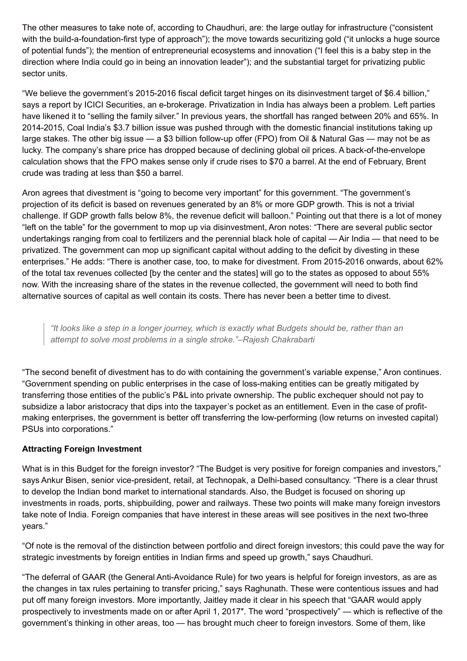The other measures to take note of, according to Chaudhuri, are: the large outlay for infrastructure ("consistent with the build-a-foundation-first type of approach"); the move towards securitizing gold ("it unlocks a huge source of potential funds"); the mention of entrepreneurial ecosystems and innovation ("I feel this is a baby step in the direction where India could go in being an innovation leader"); and the substantial target for privatizing public sector units.

"We believe the government's 2015-2016 fiscal deficit target hinges on its disinvestment target of \$6.4 billion," says a report by ICICI Securities, an e-brokerage. Privatization in India has always been a problem. Left parties have likened it to "selling the family silver." In previous years, the shortfall has ranged between 20% and 65%. In 2014-2015, Coal India's \$3.7 billion issue was pushed through with the domestic financial institutions taking up large stakes. The other big issue — a \$3 billion follow-up offer (FPO) from Oil & Natural Gas — may not be as lucky. The company's share price has dropped because of declining global oil prices. A back-of-the-envelope calculation shows that the FPO makes sense only if crude rises to \$70 a barrel. At the end of February, Brent crude was trading at less than \$50 a barrel.

Aron agrees that divestment is "going to become very important" for this government. "The government's projection of its deficit is based on revenues generated by an 8% or more GDP growth. This is not a trivial challenge. If GDP growth falls below 8%, the revenue deficit will balloon." Pointing out that there is a lot of money "left on the table" for the government to mop up via disinvestment, Aron notes: "There are several public sector undertakings ranging from coal to fertilizers and the perennial black hole of capital — Air India — that need to be privatized. The government can mop up significant capital without adding to the deficit by divesting in these enterprises." He adds: "There is another case, too, to make for divestment. From 2015-2016 onwards, about 62% of the total tax revenues collected [by the center and the states] will go to the states as opposed to about 55% now. With the increasing share of the states in the revenue collected, the government will need to both find alternative sources of capital as well contain its costs. There has never been a better time to divest.

"It looks like a step in a longer journey, which is exactly what Budgets should be, rather than an *attempt to solve most problems in a single stroke."–Rajesh Chakrabarti*

"The second benefit of divestment has to do with containing the government's variable expense," Aron continues. "Government spending on public enterprises in the case of loss-making entities can be greatly mitigated by transferring those entities of the public's P&L into private ownership. The public exchequer should not pay to subsidize a labor aristocracy that dips into the taxpayer's pocket as an entitlement. Even in the case of profitmaking enterprises, the government is better off transferring the low-performing (low returns on invested capital) PSUs into corporations."

#### **Attracting Foreign Investment**

What is in this Budget for the foreign investor? "The Budget is very positive for foreign companies and investors," says Ankur Bisen, senior vice-president, retail, at Technopak, a Delhi-based consultancy. "There is a clear thrust to develop the Indian bond market to international standards. Also, the Budget is focused on shoring up investments in roads, ports, shipbuilding, power and railways. These two points will make many foreign investors take note of India. Foreign companies that have interest in these areas will see positives in the next two-three years."

"Of note is the removal of the distinction between portfolio and direct foreign investors; this could pave the way for strategic investments by foreign entities in Indian firms and speed up growth," says Chaudhuri.

"The deferral of GAAR (the General Anti-Avoidance Rule) for two years is helpful for foreign investors, as are as the changes in tax rules pertaining to transfer pricing," says Raghunath. These were contentious issues and had put off many foreign investors. More importantly, Jaitley made it clear in his speech that "GAAR would apply prospectively to investments made on or after April 1, 2017″. The word "prospectively" — which is reflective of the government's thinking in other areas, too — has brought much cheer to foreign investors. Some of them, like